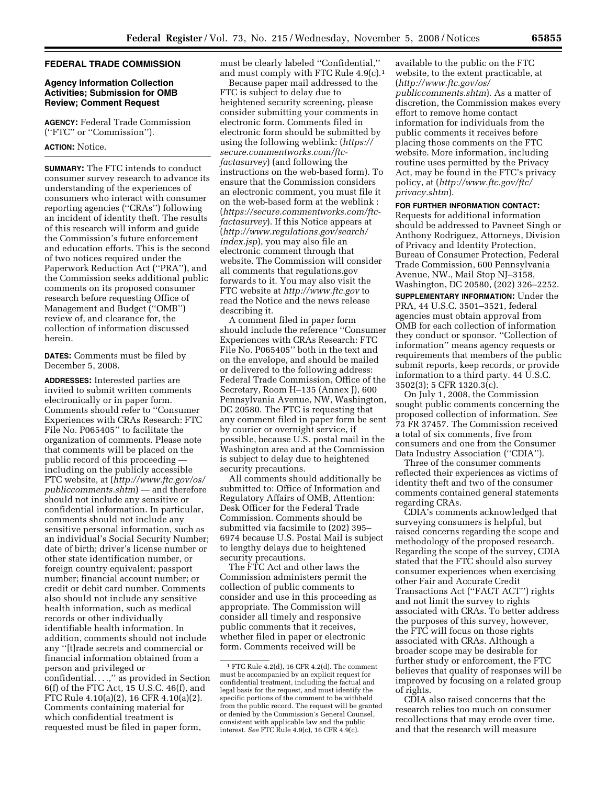# **FEDERAL TRADE COMMISSION**

## **Agency Information Collection Activities; Submission for OMB Review; Comment Request**

**AGENCY:** Federal Trade Commission (''FTC'' or ''Commission'').

# **ACTION:** Notice.

**SUMMARY:** The FTC intends to conduct consumer survey research to advance its understanding of the experiences of consumers who interact with consumer reporting agencies (''CRAs'') following an incident of identity theft. The results of this research will inform and guide the Commission's future enforcement and education efforts. This is the second of two notices required under the Paperwork Reduction Act (''PRA''), and the Commission seeks additional public comments on its proposed consumer research before requesting Office of Management and Budget (''OMB'') review of, and clearance for, the collection of information discussed herein.

**DATES:** Comments must be filed by December 5, 2008.

**ADDRESSES:** Interested parties are invited to submit written comments electronically or in paper form. Comments should refer to ''Consumer Experiences with CRAs Research: FTC File No. P065405'' to facilitate the organization of comments. Please note that comments will be placed on the public record of this proceeding including on the publicly accessible FTC website, at (*http://www.ftc.gov/os/ publiccomments.shtm*) — and therefore should not include any sensitive or confidential information. In particular, comments should not include any sensitive personal information, such as an individual's Social Security Number; date of birth; driver's license number or other state identification number, or foreign country equivalent; passport number; financial account number; or credit or debit card number. Comments also should not include any sensitive health information, such as medical records or other individually identifiable health information. In addition, comments should not include any ''[t]rade secrets and commercial or financial information obtained from a person and privileged or confidential. . . .,'' as provided in Section 6(f) of the FTC Act, 15 U.S.C. 46(f), and FTC Rule 4.10(a)(2), 16 CFR 4.10(a)(2). Comments containing material for which confidential treatment is requested must be filed in paper form,

must be clearly labeled ''Confidential,'' and must comply with FTC Rule 4.9(c).1

Because paper mail addressed to the FTC is subject to delay due to heightened security screening, please consider submitting your comments in electronic form. Comments filed in electronic form should be submitted by using the following weblink: (*https:// secure.commentworks.com/ftcfactasurvey*) (and following the instructions on the web-based form). To ensure that the Commission considers an electronic comment, you must file it on the web-based form at the weblink : (*https://secure.commentworks.com/ftcfactasurvey*). If this Notice appears at (*http://www.regulations.gov/search/ index.jsp*), you may also file an electronic comment through that website. The Commission will consider all comments that regulations.gov forwards to it. You may also visit the FTC website at *http://www.ftc.gov* to read the Notice and the news release describing it.

A comment filed in paper form should include the reference ''Consumer Experiences with CRAs Research: FTC File No. P065405'' both in the text and on the envelope, and should be mailed or delivered to the following address: Federal Trade Commission, Office of the Secretary, Room H–135 (Annex J), 600 Pennsylvania Avenue, NW, Washington, DC 20580. The FTC is requesting that any comment filed in paper form be sent by courier or overnight service, if possible, because U.S. postal mail in the Washington area and at the Commission is subject to delay due to heightened security precautions.

All comments should additionally be submitted to: Office of Information and Regulatory Affairs of OMB, Attention: Desk Officer for the Federal Trade Commission. Comments should be submitted via facsimile to (202) 395– 6974 because U.S. Postal Mail is subject to lengthy delays due to heightened security precautions.

The FTC Act and other laws the Commission administers permit the collection of public comments to consider and use in this proceeding as appropriate. The Commission will consider all timely and responsive public comments that it receives, whether filed in paper or electronic form. Comments received will be

available to the public on the FTC website, to the extent practicable, at (*http://www.ftc.gov/os/ publiccomments.shtm*). As a matter of discretion, the Commission makes every effort to remove home contact information for individuals from the public comments it receives before placing those comments on the FTC website. More information, including routine uses permitted by the Privacy Act, may be found in the FTC's privacy policy, at (*http://www.ftc.gov/ftc/ privacy.shtm*).

## **FOR FURTHER INFORMATION CONTACT:**

Requests for additional information should be addressed to Pavneet Singh or Anthony Rodriguez, Attorneys, Division of Privacy and Identity Protection, Bureau of Consumer Protection, Federal Trade Commission, 600 Pennsylvania Avenue, NW., Mail Stop NJ–3158, Washington, DC 20580, (202) 326–2252. **SUPPLEMENTARY INFORMATION:** Under the PRA, 44 U.S.C. 3501–3521, federal agencies must obtain approval from OMB for each collection of information they conduct or sponsor. ''Collection of information'' means agency requests or requirements that members of the public submit reports, keep records, or provide information to a third party. 44 U.S.C. 3502(3); 5 CFR 1320.3(c).

On July 1, 2008, the Commission sought public comments concerning the proposed collection of information. *See*  73 FR 37457. The Commission received a total of six comments, five from consumers and one from the Consumer Data Industry Association (''CDIA'').

Three of the consumer comments reflected their experiences as victims of identity theft and two of the consumer comments contained general statements regarding CRAs.

CDIA's comments acknowledged that surveying consumers is helpful, but raised concerns regarding the scope and methodology of the proposed research. Regarding the scope of the survey, CDIA stated that the FTC should also survey consumer experiences when exercising other Fair and Accurate Credit Transactions Act (''FACT ACT'') rights and not limit the survey to rights associated with CRAs. To better address the purposes of this survey, however, the FTC will focus on those rights associated with CRAs. Although a broader scope may be desirable for further study or enforcement, the FTC believes that quality of responses will be improved by focusing on a related group of rights.

CDIA also raised concerns that the research relies too much on consumer recollections that may erode over time, and that the research will measure

<sup>1</sup> FTC Rule 4.2(d), 16 CFR 4.2(d). The comment must be accompanied by an explicit request for confidential treatment, including the factual and legal basis for the request, and must identify the specific portions of the comment to be withheld from the public record. The request will be granted or denied by the Commission's General Counsel, consistent with applicable law and the public interest. *See* FTC Rule 4.9(c), 16 CFR 4.9(c).